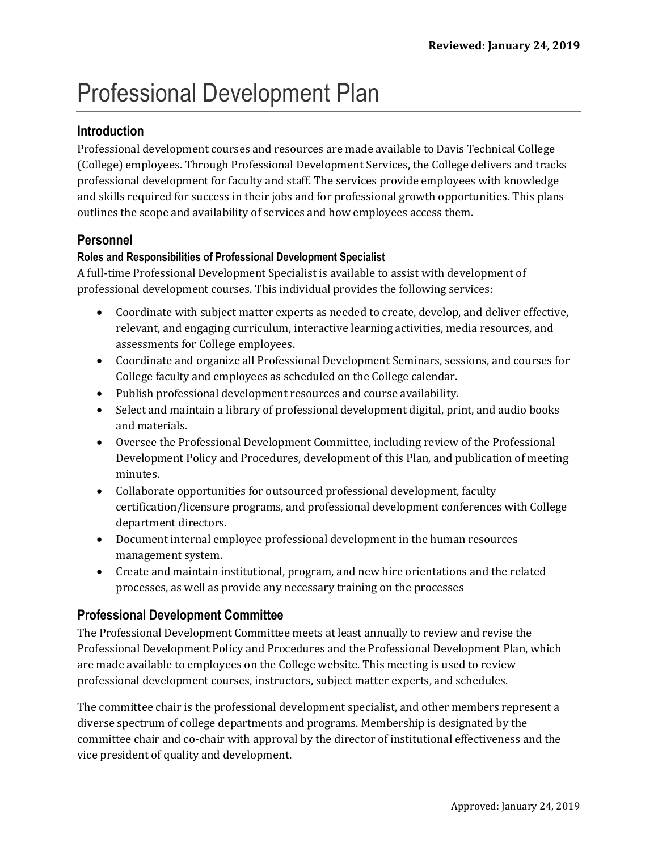# Professional Development Plan

## **Introduction**

Professional development courses and resources are made available to Davis Technical College (College) employees. Through Professional Development Services, the College delivers and tracks professional development for faculty and staff. The services provide employees with knowledge and skills required for success in their jobs and for professional growth opportunities. This plans outlines the scope and availability of services and how employees access them.

#### **Personnel**

#### **Roles and Responsibilities of Professional Development Specialist**

A full-time Professional Development Specialist is available to assist with development of professional development courses. This individual provides the following services:

- Coordinate with subject matter experts as needed to create, develop, and deliver effective, relevant, and engaging curriculum, interactive learning activities, media resources, and assessments for College employees.
- Coordinate and organize all Professional Development Seminars, sessions, and courses for College faculty and employees as scheduled on the College calendar.
- Publish professional development resources and course availability.
- Select and maintain a library of professional development digital, print, and audio books and materials.
- Oversee the Professional Development Committee, including review of the Professional Development Policy and Procedures, development of this Plan, and publication of meeting minutes.
- Collaborate opportunities for outsourced professional development, faculty certification/licensure programs, and professional development conferences with College department directors.
- Document internal employee professional development in the human resources management system.
- Create and maintain institutional, program, and new hire orientations and the related processes, as well as provide any necessary training on the processes

## **Professional Development Committee**

The Professional Development Committee meets at least annually to review and revise the Professional Development Policy and Procedures and the Professional Development Plan, which are made available to employees on the College website. This meeting is used to review professional development courses, instructors, subject matter experts, and schedules.

The committee chair is the professional development specialist, and other members represent a diverse spectrum of college departments and programs. Membership is designated by the committee chair and co-chair with approval by the director of institutional effectiveness and the vice president of quality and development.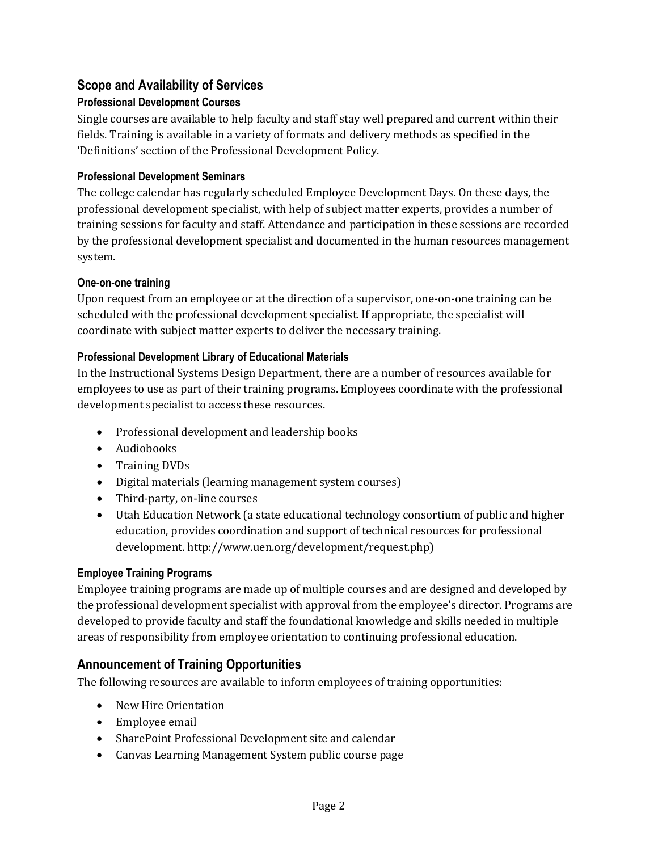## **Scope and Availability of Services**

### **Professional Development Courses**

Single courses are available to help faculty and staff stay well prepared and current within their fields. Training is available in a variety of formats and delivery methods as specified in the 'Definitions' section of the Professional Development Policy.

#### **Professional Development Seminars**

The college calendar has regularly scheduled Employee Development Days. On these days, the professional development specialist, with help of subject matter experts, provides a number of training sessions for faculty and staff. Attendance and participation in these sessions are recorded by the professional development specialist and documented in the human resources management system.

#### **One-on-one training**

Upon request from an employee or at the direction of a supervisor, one-on-one training can be scheduled with the professional development specialist. If appropriate, the specialist will coordinate with subject matter experts to deliver the necessary training.

#### **Professional Development Library of Educational Materials**

In the Instructional Systems Design Department, there are a number of resources available for employees to use as part of their training programs. Employees coordinate with the professional development specialist to access these resources.

- Professional development and leadership books
- Audiobooks
- Training DVDs
- Digital materials (learning management system courses)
- Third-party, on-line courses
- Utah Education Network (a state educational technology consortium of public and higher education, provides coordination and support of technical resources for professional development. http://www.uen.org/development/request.php)

#### **Employee Training Programs**

Employee training programs are made up of multiple courses and are designed and developed by the professional development specialist with approval from the employee's director. Programs are developed to provide faculty and staff the foundational knowledge and skills needed in multiple areas of responsibility from employee orientation to continuing professional education.

## **Announcement of Training Opportunities**

The following resources are available to inform employees of training opportunities:

- New Hire Orientation
- Employee email
- SharePoint Professional Development site and calendar
- Canvas Learning Management System public course page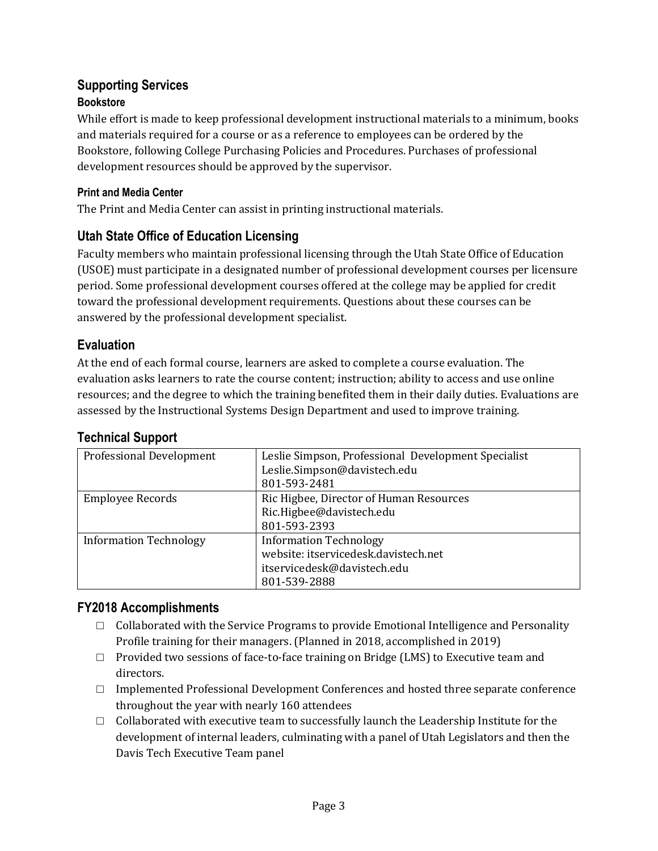#### **Supporting Services Bookstore**

While effort is made to keep professional development instructional materials to a minimum, books and materials required for a course or as a reference to employees can be ordered by the Bookstore, following College Purchasing Policies and Procedures. Purchases of professional development resources should be approved by the supervisor.

## **Print and Media Center**

The Print and Media Center can assist in printing instructional materials.

# **Utah State Office of Education Licensing**

Faculty members who maintain professional licensing through the Utah State Office of Education (USOE) must participate in a designated number of professional development courses per licensure period. Some professional development courses offered at the college may be applied for credit toward the professional development requirements. Questions about these courses can be answered by the professional development specialist.

# **Evaluation**

At the end of each formal course, learners are asked to complete a course evaluation. The evaluation asks learners to rate the course content; instruction; ability to access and use online resources; and the degree to which the training benefited them in their daily duties. Evaluations are assessed by the Instructional Systems Design Department and used to improve training.

# **Technical Support**

| <b>Professional Development</b> | Leslie Simpson, Professional Development Specialist<br>Leslie.Simpson@davistech.edu<br>801-593-2481                  |
|---------------------------------|----------------------------------------------------------------------------------------------------------------------|
| <b>Employee Records</b>         | Ric Higbee, Director of Human Resources<br>Ric.Higbee@davistech.edu<br>801-593-2393                                  |
| <b>Information Technology</b>   | <b>Information Technology</b><br>website: itservicedesk.davistech.net<br>itservicedesk@davistech.edu<br>801-539-2888 |

# **FY2018 Accomplishments**

- $\Box$  Collaborated with the Service Programs to provide Emotional Intelligence and Personality Profile training for their managers. (Planned in 2018, accomplished in 2019)
- $\Box$  Provided two sessions of face-to-face training on Bridge (LMS) to Executive team and directors.
- $\Box$  Implemented Professional Development Conferences and hosted three separate conference throughout the year with nearly 160 attendees
- □ Collaborated with executive team to successfully launch the Leadership Institute for the development of internal leaders, culminating with a panel of Utah Legislators and then the Davis Tech Executive Team panel